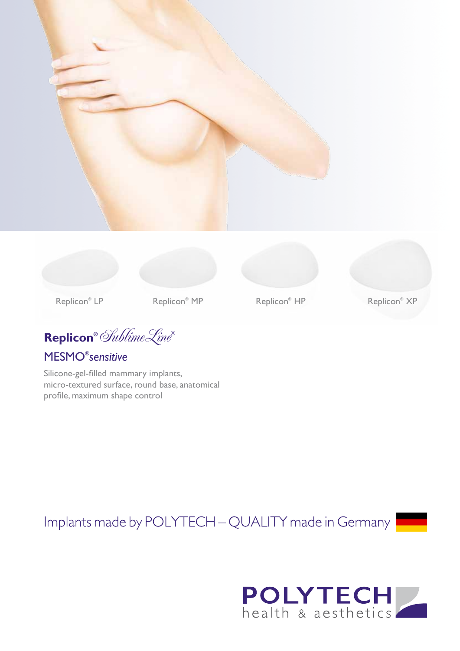



Replicon<sup>®</sup> MP

**Replicon®** SublimeLine**®**

## MESMO® *sensitive*

Silicone-gel-filled mammary implants, micro-textured surface, round base, anatomical profile, maximum shape control

Replicon<sup>®</sup> HP

Implants made by POLYTECH - QUALITY made in Germany